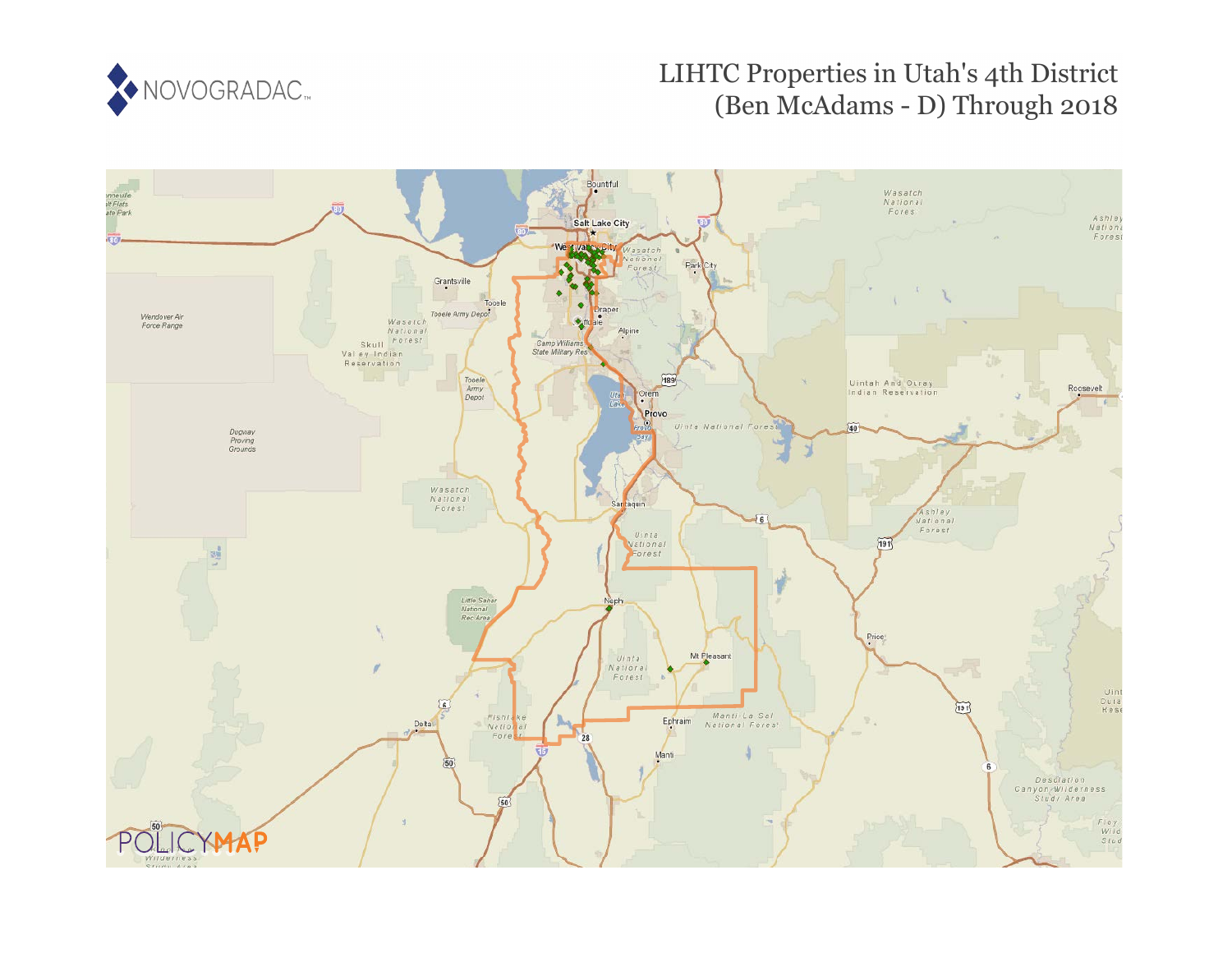

# LIHTC Properties in Utah's 4th District (Ben McAdams - D) Through 2018

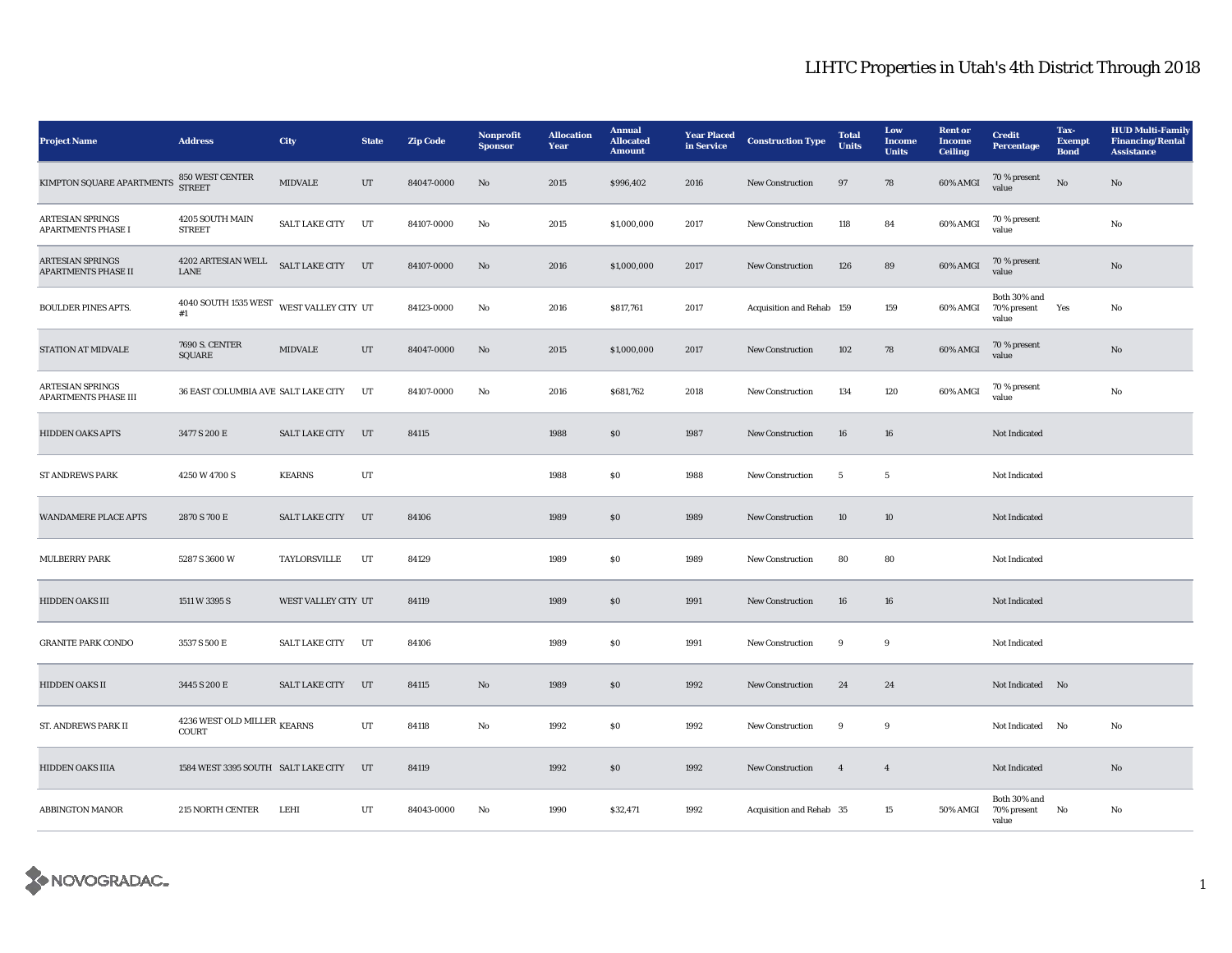| <b>Project Name</b>                                   | <b>Address</b>                                         | <b>City</b>           | <b>State</b> | <b>Zip Code</b> | Nonprofit<br><b>Sponsor</b> | <b>Allocation</b><br>Year | <b>Annual</b><br><b>Allocated</b><br><b>Amount</b> | <b>Year Placed</b><br>in Service | <b>Construction Type</b>  | <b>Total</b><br><b>Units</b> | Low<br><b>Income</b><br><b>Units</b> | <b>Rent</b> or<br><b>Income</b><br><b>Ceiling</b> | <b>Credit</b><br>Percentage          | Tax-<br><b>Exempt</b><br><b>Bond</b> | <b>HUD Multi-Family</b><br><b>Financing/Rental</b><br><b>Assistance</b> |
|-------------------------------------------------------|--------------------------------------------------------|-----------------------|--------------|-----------------|-----------------------------|---------------------------|----------------------------------------------------|----------------------------------|---------------------------|------------------------------|--------------------------------------|---------------------------------------------------|--------------------------------------|--------------------------------------|-------------------------------------------------------------------------|
| KIMPTON SQUARE APARTMENTS                             | 850 WEST CENTER<br><b>STREET</b>                       | <b>MIDVALE</b>        | UT           | 84047-0000      | No                          | 2015                      | \$996,402                                          | 2016                             | <b>New Construction</b>   | 97                           | 78                                   | 60% AMGI                                          | $70\,\%$ present<br>value            | No                                   | No                                                                      |
| <b>ARTESIAN SPRINGS</b><br><b>APARTMENTS PHASE I</b>  | 4205 SOUTH MAIN<br><b>STREET</b>                       | <b>SALT LAKE CITY</b> | UT           | 84107-0000      | No                          | 2015                      | \$1,000,000                                        | 2017                             | <b>New Construction</b>   | 118                          | 84                                   | 60% AMGI                                          | 70 % present<br>value                |                                      | No                                                                      |
| <b>ARTESIAN SPRINGS</b><br><b>APARTMENTS PHASE II</b> | $4202$ ARTESIAN WELL<br>LANE                           | SALT LAKE CITY        | UT           | 84107-0000      | No                          | 2016                      | \$1,000,000                                        | 2017                             | <b>New Construction</b>   | 126                          | 89                                   | 60% AMGI                                          | 70 % present<br>value                |                                      | No                                                                      |
| <b>BOULDER PINES APTS.</b>                            | 4040 SOUTH 1535 WEST<br>#1                             | WEST VALLEY CITY UT   |              | 84123-0000      | No                          | 2016                      | \$817,761                                          | 2017                             | Acquisition and Rehab 159 |                              | 159                                  | 60% AMGI                                          | Both 30% and<br>70% present<br>value | Yes                                  | No                                                                      |
| STATION AT MIDVALE                                    | <b>7690 S. CENTER</b><br>SQUARE                        | <b>MIDVALE</b>        | UT           | 84047-0000      | No                          | 2015                      | \$1,000,000                                        | 2017                             | New Construction          | 102                          | 78                                   | 60% AMGI                                          | 70 % present<br>value                |                                      | No                                                                      |
| <b>ARTESIAN SPRINGS</b><br>APARTMENTS PHASE III       | 36 EAST COLUMBIA AVE SALT LAKE CITY                    |                       | UT           | 84107-0000      | No                          | 2016                      | \$681,762                                          | 2018                             | <b>New Construction</b>   | 134                          | 120                                  | 60% AMGI                                          | 70 % present<br>value                |                                      | No                                                                      |
| <b>HIDDEN OAKS APTS</b>                               | 3477 S 200 E                                           | <b>SALT LAKE CITY</b> | UT           | 84115           |                             | 1988                      | $\$0$                                              | 1987                             | New Construction          | 16                           | 16                                   |                                                   | Not Indicated                        |                                      |                                                                         |
| <b>ST ANDREWS PARK</b>                                | 4250 W 4700 S                                          | <b>KEARNS</b>         | $_{\rm{UT}}$ |                 |                             | 1988                      | $\$0$                                              | 1988                             | New Construction          | $\overline{\mathbf{5}}$      | $\sqrt{5}$                           |                                                   | Not Indicated                        |                                      |                                                                         |
| <b>WANDAMERE PLACE APTS</b>                           | 2870 S 700 E                                           | <b>SALT LAKE CITY</b> | UT           | 84106           |                             | 1989                      | ${\bf S0}$                                         | 1989                             | New Construction          | 10                           | 10                                   |                                                   | Not Indicated                        |                                      |                                                                         |
| <b>MULBERRY PARK</b>                                  | 5287 S 3600 W                                          | TAYLORSVILLE          | UT           | 84129           |                             | 1989                      | S <sub>0</sub>                                     | 1989                             | New Construction          | 80                           | 80                                   |                                                   | Not Indicated                        |                                      |                                                                         |
| HIDDEN OAKS III                                       | 1511 W 3395 S                                          | WEST VALLEY CITY UT   |              | 84119           |                             | 1989                      | \$0                                                | 1991                             | <b>New Construction</b>   | 16                           | 16                                   |                                                   | Not Indicated                        |                                      |                                                                         |
| <b>GRANITE PARK CONDO</b>                             | 3537 S 500 E                                           | <b>SALT LAKE CITY</b> | UT           | 84106           |                             | 1989                      | \$0\$                                              | 1991                             | <b>New Construction</b>   | 9                            | 9                                    |                                                   | Not Indicated                        |                                      |                                                                         |
| HIDDEN OAKS II                                        | 3445 S 200 E                                           | <b>SALT LAKE CITY</b> | UT           | 84115           | No                          | 1989                      | \$0\$                                              | 1992                             | New Construction          | 24                           | 24                                   |                                                   | Not Indicated No                     |                                      |                                                                         |
| ST. ANDREWS PARK II                                   | $4236$ WEST OLD MILLER $_{\rm KEARNS}$<br><b>COURT</b> |                       | UT           | 84118           | No                          | 1992                      | \$0\$                                              | 1992                             | <b>New Construction</b>   | 9                            | 9                                    |                                                   | Not Indicated                        | No                                   | No                                                                      |
| <b>HIDDEN OAKS IIIA</b>                               | 1584 WEST 3395 SOUTH SALT LAKE CITY                    |                       | UT           | 84119           |                             | 1992                      | \$0\$                                              | 1992                             | <b>New Construction</b>   | $\overline{4}$               | $\overline{4}$                       |                                                   | Not Indicated                        |                                      | No                                                                      |
| <b>ABBINGTON MANOR</b>                                | 215 NORTH CENTER                                       | LEHI                  | UT           | 84043-0000      | No                          | 1990                      | \$32,471                                           | 1992                             | Acquisition and Rehab 35  |                              | 15                                   | <b>50% AMGI</b>                                   | Both 30% and<br>70% present<br>value | No                                   | No                                                                      |

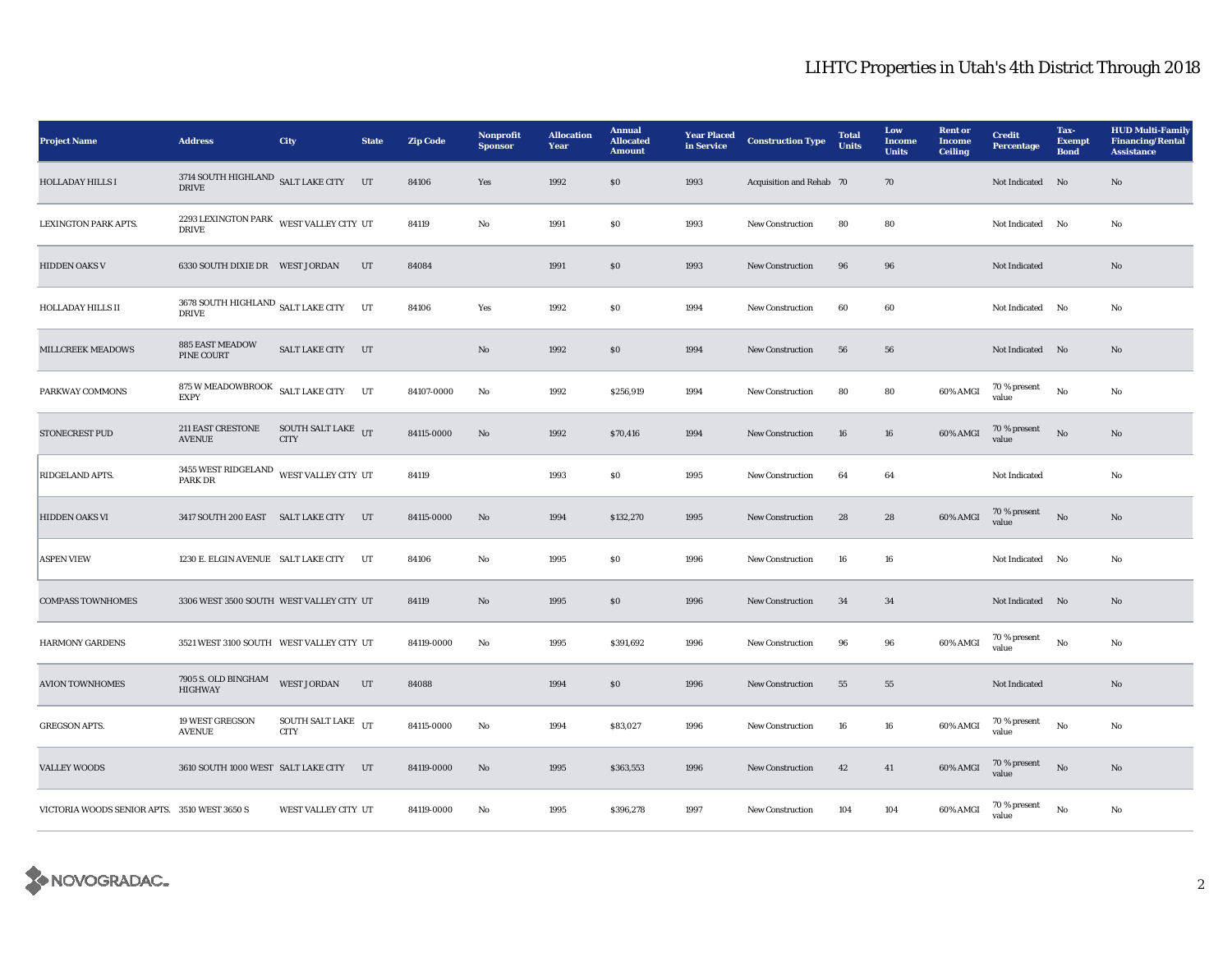| <b>Project Name</b>                          | <b>Address</b>                                            | <b>City</b>                                 | <b>State</b> | <b>Zip Code</b> | Nonprofit<br><b>Sponsor</b> | <b>Allocation</b><br>Year | <b>Annual</b><br><b>Allocated</b><br><b>Amount</b> | <b>Year Placed</b><br>in Service | <b>Construction Type</b> | <b>Total</b><br><b>Units</b> | Low<br><b>Income</b><br><b>Units</b> | <b>Rent or</b><br><b>Income</b><br><b>Ceiling</b> | <b>Credit</b><br><b>Percentage</b> | Tax-<br><b>Exempt</b><br><b>Bond</b> | <b>HUD Multi-Family</b><br><b>Financing/Rental</b><br><b>Assistance</b> |
|----------------------------------------------|-----------------------------------------------------------|---------------------------------------------|--------------|-----------------|-----------------------------|---------------------------|----------------------------------------------------|----------------------------------|--------------------------|------------------------------|--------------------------------------|---------------------------------------------------|------------------------------------|--------------------------------------|-------------------------------------------------------------------------|
| <b>HOLLADAY HILLS I</b>                      | 3714 SOUTH HIGHLAND SALT LAKE CITY UT<br><b>DRIVE</b>     |                                             |              | 84106           | Yes                         | 1992                      | \$0                                                | 1993                             | Acquisition and Rehab 70 |                              | 70                                   |                                                   | Not Indicated No                   |                                      | $\mathbf{N}\mathbf{o}$                                                  |
| LEXINGTON PARK APTS.                         | 2293 LEXINGTON PARK WEST VALLEY CITY UT<br><b>DRIVE</b>   |                                             |              | 84119           | No                          | 1991                      | SO.                                                | 1993                             | <b>New Construction</b>  | 80                           | 80                                   |                                                   | Not Indicated No                   |                                      | No                                                                      |
| <b>HIDDEN OAKS V</b>                         |                                                           |                                             | UT           | 84084           |                             | 1991                      | \$0                                                | 1993                             | New Construction         | 96                           | 96                                   |                                                   | Not Indicated                      |                                      | No                                                                      |
| <b>HOLLADAY HILLS II</b>                     | 3678 SOUTH HIGHLAND SALT LAKE CITY<br><b>DRIVE</b>        |                                             | UT           | 84106           | Yes                         | 1992                      | \$0\$                                              | 1994                             | <b>New Construction</b>  | 60                           | 60                                   |                                                   | Not Indicated No                   |                                      | No                                                                      |
| <b>MILLCREEK MEADOWS</b>                     | <b>885 EAST MEADOW</b><br>PINE COURT                      | SALT LAKE CITY UT                           |              |                 | No                          | 1992                      | \$0\$                                              | 1994                             | <b>New Construction</b>  | 56                           | 56                                   |                                                   | Not Indicated No                   |                                      | No                                                                      |
| PARKWAY COMMONS                              | 875 W MEADOWBROOK<br><b>EXPY</b>                          | <b>SALT LAKE CITY</b>                       | UT           | 84107-0000      | No                          | 1992                      | \$256,919                                          | 1994                             | <b>New Construction</b>  | 80                           | 80                                   | 60% AMGI                                          | 70 % present<br>value              | No                                   | No                                                                      |
| <b>STONECREST PUD</b>                        | <b>211 EAST CRESTONE</b><br><b>AVENUE</b>                 | SOUTH SALT LAKE $_{\rm{UT}}$<br><b>CITY</b> |              | 84115-0000      | $\mathbf{N}\mathbf{o}$      | 1992                      | \$70,416                                           | 1994                             | New Construction         | 16                           | 16                                   | 60% AMGI                                          | 70 % present<br>value              | $\mathbf{N}\mathbf{o}$               | No                                                                      |
| RIDGELAND APTS.                              | 3455 WEST RIDGELAND WEST VALLEY CITY UT<br><b>PARK DR</b> |                                             |              | 84119           |                             | 1993                      | $\$0$                                              | 1995                             | New Construction         | 64                           | 64                                   |                                                   | Not Indicated                      |                                      | No                                                                      |
| HIDDEN OAKS VI                               | 3417 SOUTH 200 EAST SALT LAKE CITY                        |                                             | UT           | 84115-0000      | $\mathbf{N}\mathbf{o}$      | 1994                      | \$132,270                                          | 1995                             | <b>New Construction</b>  | 28                           | 28                                   | 60% AMGI                                          | 70 % present<br>value              | $_{\rm No}$                          | $\mathbf{N}\mathbf{o}$                                                  |
| <b>ASPEN VIEW</b>                            | 1230 E. ELGIN AVENUE SALT LAKE CITY                       |                                             | UT           | 84106           | No                          | 1995                      | ${\bf S0}$                                         | 1996                             | New Construction         | ${\bf 16}$                   | ${\bf 16}$                           |                                                   | Not Indicated No                   |                                      | No                                                                      |
| <b>COMPASS TOWNHOMES</b>                     | 3306 WEST 3500 SOUTH WEST VALLEY CITY UT                  |                                             |              | 84119           | No                          | 1995                      | SO <sub>2</sub>                                    | 1996                             | New Construction         | 34                           | 34                                   |                                                   | Not Indicated No                   |                                      | N <sub>o</sub>                                                          |
| <b>HARMONY GARDENS</b>                       | 3521 WEST 3100 SOUTH WEST VALLEY CITY UT                  |                                             |              | 84119-0000      | No                          | 1995                      | \$391,692                                          | 1996                             | <b>New Construction</b>  | 96                           | 96                                   | 60% AMGI                                          | 70 % present<br>value              | $\mathbf{No}$                        | No                                                                      |
| <b>AVION TOWNHOMES</b>                       | 7905 S. OLD BINGHAM<br><b>HIGHWAY</b>                     | WEST JORDAN                                 | UT           | 84088           |                             | 1994                      | \$0\$                                              | 1996                             | New Construction         | 55                           | 55                                   |                                                   | Not Indicated                      |                                      | $\mathbf{N}\mathbf{o}$                                                  |
| <b>GREGSON APTS.</b>                         | <b>19 WEST GREGSON</b><br><b>AVENUE</b>                   | SOUTH SALT LAKE $_{\rm{UT}}$<br><b>CITY</b> |              | 84115-0000      | No                          | 1994                      | \$83,027                                           | 1996                             | <b>New Construction</b>  | 16                           | ${\bf 16}$                           | 60% AMGI                                          | 70 % present<br>value              | No                                   | No                                                                      |
| <b>VALLEY WOODS</b>                          | 3610 SOUTH 1000 WEST SALT LAKE CITY                       |                                             | UT           | 84119-0000      | No                          | 1995                      | \$363,553                                          | 1996                             | <b>New Construction</b>  | 42                           | 41                                   | 60% AMGI                                          | 70 % present<br>value              | $\rm No$                             | No                                                                      |
| VICTORIA WOODS SENIOR APTS. 3510 WEST 3650 S |                                                           | WEST VALLEY CITY UT                         |              | 84119-0000      | No                          | 1995                      | \$396,278                                          | 1997                             | <b>New Construction</b>  | 104                          | 104                                  | 60% AMGI                                          | 70 % present<br>value              | No                                   | No                                                                      |

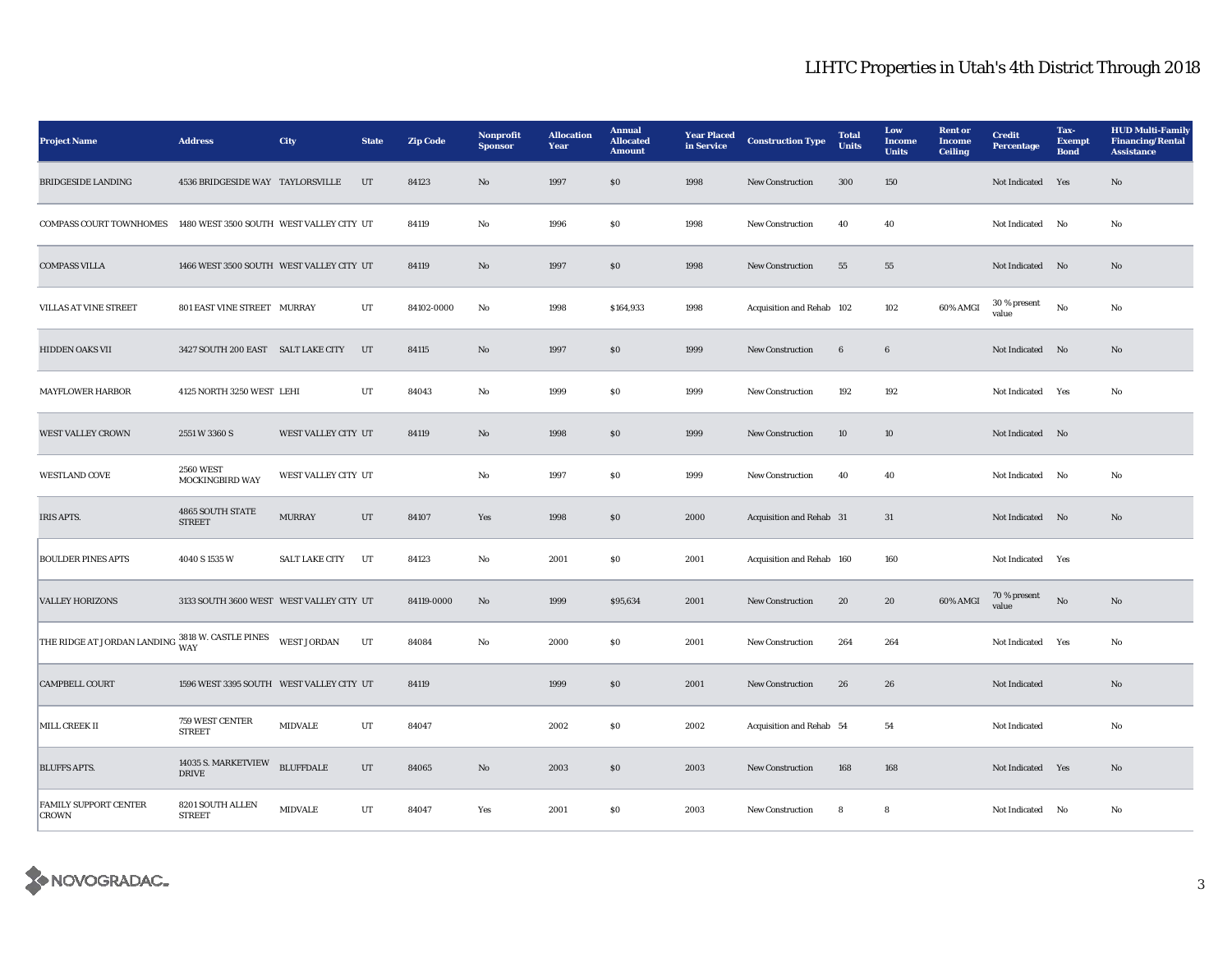| <b>Project Name</b>                              | <b>Address</b>                             | City                  | <b>State</b> | <b>Zip Code</b> | Nonprofit<br><b>Sponsor</b> | <b>Allocation</b><br>Year | <b>Annual</b><br><b>Allocated</b><br><b>Amount</b> | <b>Year Placed</b><br>in Service | <b>Construction Type</b>  | <b>Total</b><br><b>Units</b> | Low<br><b>Income</b><br><b>Units</b> | <b>Rent or</b><br><b>Income</b><br><b>Ceiling</b> | <b>Credit</b><br><b>Percentage</b> | Tax-<br><b>Exempt</b><br><b>Bond</b> | <b>HUD Multi-Family</b><br><b>Financing/Rental</b><br><b>Assistance</b> |
|--------------------------------------------------|--------------------------------------------|-----------------------|--------------|-----------------|-----------------------------|---------------------------|----------------------------------------------------|----------------------------------|---------------------------|------------------------------|--------------------------------------|---------------------------------------------------|------------------------------------|--------------------------------------|-------------------------------------------------------------------------|
| <b>BRIDGESIDE LANDING</b>                        | 4536 BRIDGESIDE WAY TAYLORSVILLE           |                       | UT           | 84123           | $\mathbf{N}\mathbf{o}$      | 1997                      | ${\bf S0}$                                         | 1998                             | New Construction          | 300                          | 150                                  |                                                   | Not Indicated                      | Yes                                  | No                                                                      |
| <b>COMPASS COURT TOWNHOMES</b>                   | 1480 WEST 3500 SOUTH WEST VALLEY CITY UT   |                       |              | 84119           | No                          | 1996                      | \$0\$                                              | 1998                             | New Construction          | 40                           | 40                                   |                                                   | Not Indicated                      | No                                   | No                                                                      |
| <b>COMPASS VILLA</b>                             | 1466 WEST 3500 SOUTH WEST VALLEY CITY UT   |                       |              | 84119           | No                          | 1997                      | S <sub>0</sub>                                     | 1998                             | <b>New Construction</b>   | 55                           | 55                                   |                                                   | Not Indicated No                   |                                      | No                                                                      |
| <b>VILLAS AT VINE STREET</b>                     | 801 EAST VINE STREET MURRAY                |                       | UT           | 84102-0000      | No                          | 1998                      | \$164,933                                          | 1998                             | Acquisition and Rehab 102 |                              | 102                                  | 60% AMGI                                          | 30 % present<br>value              | No                                   | No                                                                      |
| <b>HIDDEN OAKS VII</b>                           | 3427 SOUTH 200 EAST SALT LAKE CITY         |                       | UT           | 84115           | No                          | 1997                      | \$0\$                                              | 1999                             | <b>New Construction</b>   | 6                            | 6                                    |                                                   | Not Indicated No                   |                                      | No                                                                      |
| <b>MAYFLOWER HARBOR</b>                          | 4125 NORTH 3250 WEST LEHI                  |                       | UT           | 84043           | No                          | 1999                      | $\$0$                                              | 1999                             | New Construction          | 192                          | 192                                  |                                                   | Not Indicated                      | Yes                                  | No                                                                      |
| WEST VALLEY CROWN                                | 2551 W 3360 S                              | WEST VALLEY CITY UT   |              | 84119           | $\mathbf{N}\mathbf{o}$      | 1998                      | ${\bf S0}$                                         | 1999                             | New Construction          | $10\,$                       | $10\,$                               |                                                   | Not Indicated No                   |                                      |                                                                         |
| <b>WESTLAND COVE</b>                             | <b>2560 WEST</b><br><b>MOCKINGBIRD WAY</b> | WEST VALLEY CITY UT   |              |                 | No                          | 1997                      | $\$0$                                              | 1999                             | New Construction          | 40                           | 40                                   |                                                   | Not Indicated                      | No                                   | No                                                                      |
| <b>IRIS APTS.</b>                                | 4865 SOUTH STATE<br><b>STREET</b>          | <b>MURRAY</b>         | UT           | 84107           | Yes                         | 1998                      | $\$0$                                              | 2000                             | Acquisition and Rehab 31  |                              | 31                                   |                                                   | Not Indicated No                   |                                      | No                                                                      |
| <b>BOULDER PINES APTS</b>                        | 4040 S 1535 W                              | <b>SALT LAKE CITY</b> | UT           | 84123           | No                          | 2001                      | \$0\$                                              | 2001                             | Acquisition and Rehab 160 |                              | 160                                  |                                                   | Not Indicated Yes                  |                                      |                                                                         |
| <b>VALLEY HORIZONS</b>                           | 3133 SOUTH 3600 WEST WEST VALLEY CITY UT   |                       |              | 84119-0000      | No                          | 1999                      | \$95,634                                           | 2001                             | <b>New Construction</b>   | 20                           | 20                                   | 60% AMGI                                          | 70 % present<br>value              | No                                   | No                                                                      |
| THE RIDGE AT JORDAN LANDING 3818 W. CASTLE PINES |                                            | WEST JORDAN           | UT           | 84084           | No                          | 2000                      | \$0\$                                              | 2001                             | <b>New Construction</b>   | 264                          | 264                                  |                                                   | Not Indicated Yes                  |                                      | No                                                                      |
| <b>CAMPBELL COURT</b>                            | 1596 WEST 3395 SOUTH WEST VALLEY CITY UT   |                       |              | 84119           |                             | 1999                      | \$0\$                                              | 2001                             | <b>New Construction</b>   | 26                           | 26                                   |                                                   | Not Indicated                      |                                      | No                                                                      |
| <b>MILL CREEK II</b>                             | 759 WEST CENTER<br><b>STREET</b>           | <b>MIDVALE</b>        | UT           | 84047           |                             | 2002                      | \$0\$                                              | 2002                             | Acquisition and Rehab 54  |                              | 54                                   |                                                   | Not Indicated                      |                                      | No                                                                      |
| <b>BLUFFS APTS.</b>                              | 14035 S. MARKETVIEW<br><b>DRIVE</b>        | <b>BLUFFDALE</b>      | $_{\rm{UT}}$ | 84065           | $\mathbf{N}\mathbf{o}$      | 2003                      | $\boldsymbol{\mathsf{S}}\boldsymbol{\mathsf{O}}$   | 2003                             | <b>New Construction</b>   | 168                          | 168                                  |                                                   | Not Indicated Yes                  |                                      | No                                                                      |
| FAMILY SUPPORT CENTER<br><b>CROWN</b>            | 8201 SOUTH ALLEN<br><b>STREET</b>          | <b>MIDVALE</b>        | UT           | 84047           | Yes                         | 2001                      | SO.                                                | 2003                             | <b>New Construction</b>   | 8                            | 8                                    |                                                   | Not Indicated No                   |                                      | No                                                                      |

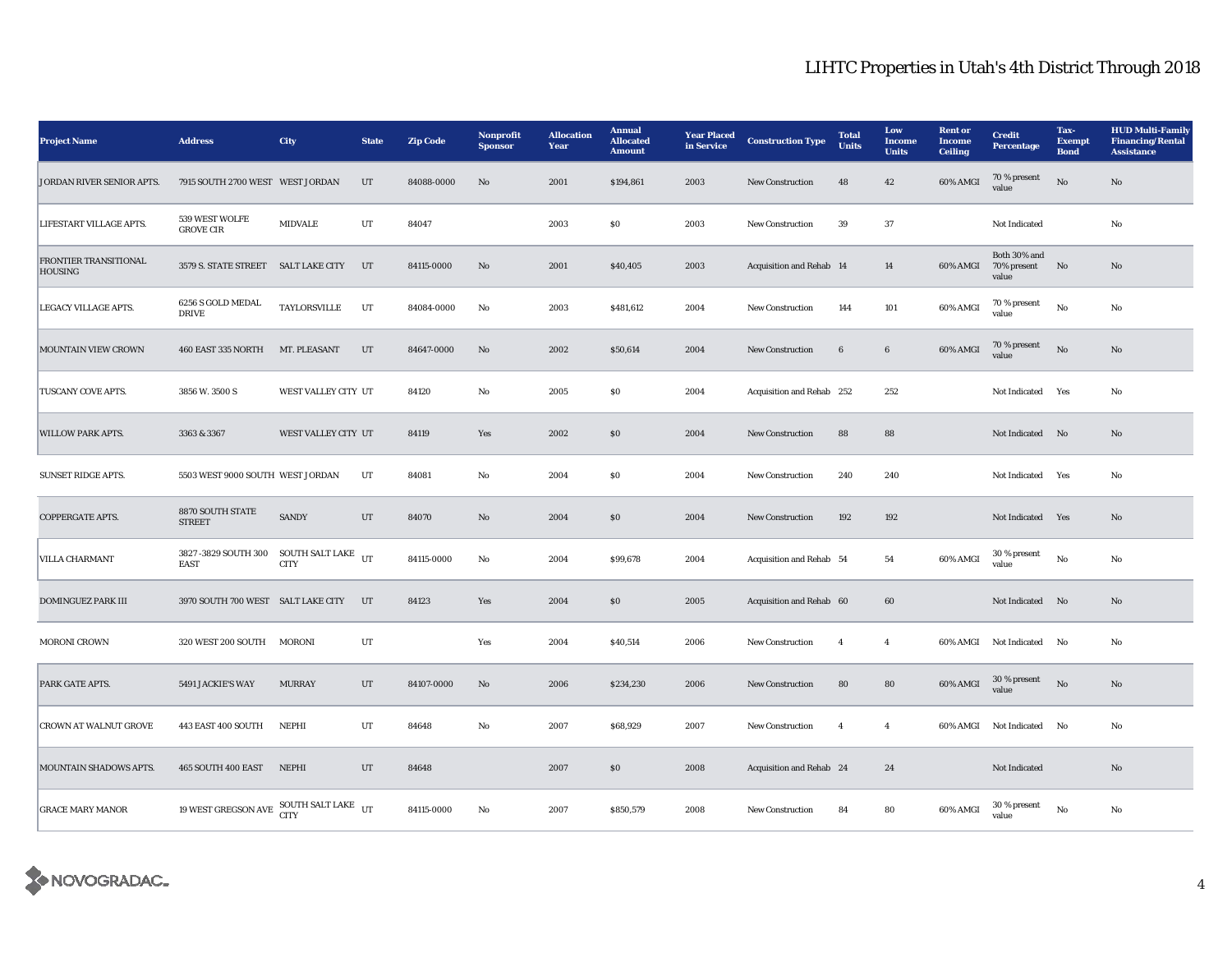| <b>Project Name</b>                            | <b>Address</b>                         | City                              | <b>State</b> | <b>Zip Code</b> | Nonprofit<br><b>Sponsor</b> | <b>Allocation</b><br>Year | <b>Annual</b><br><b>Allocated</b><br><b>Amount</b> | <b>Year Placed</b><br>in Service | <b>Construction Type</b>  | <b>Total</b><br><b>Units</b> | Low<br><b>Income</b><br><b>Units</b> | <b>Rent</b> or<br><b>Income</b><br><b>Ceiling</b> | <b>Credit</b><br><b>Percentage</b>      | Tax-<br><b>Exempt</b><br><b>Bond</b> | <b>HUD Multi-Family</b><br><b>Financing/Rental</b><br><b>Assistance</b> |
|------------------------------------------------|----------------------------------------|-----------------------------------|--------------|-----------------|-----------------------------|---------------------------|----------------------------------------------------|----------------------------------|---------------------------|------------------------------|--------------------------------------|---------------------------------------------------|-----------------------------------------|--------------------------------------|-------------------------------------------------------------------------|
| JORDAN RIVER SENIOR APTS.                      | 7915 SOUTH 2700 WEST WEST JORDAN       |                                   | UT           | 84088-0000      | No                          | 2001                      | \$194,861                                          | 2003                             | <b>New Construction</b>   | 48                           | 42                                   | 60% AMGI                                          | 70 % present<br>value                   | $\mathbf{N}\mathbf{o}$               | No                                                                      |
| LIFESTART VILLAGE APTS.                        | 539 WEST WOLFE<br><b>GROVE CIR</b>     | <b>MIDVALE</b>                    | UT           | 84047           |                             | 2003                      | S <sub>0</sub>                                     | 2003                             | <b>New Construction</b>   | 39                           | 37                                   |                                                   | Not Indicated                           |                                      | No                                                                      |
| <b>FRONTIER TRANSITIONAL</b><br><b>HOUSING</b> | 3579 S. STATE STREET SALT LAKE CITY    |                                   | UT           | 84115-0000      | No                          | 2001                      | \$40,405                                           | 2003                             | Acquisition and Rehab 14  |                              | 14                                   | 60% AMGI                                          | Both 30% and<br>70% present No<br>value |                                      | No                                                                      |
| LEGACY VILLAGE APTS.                           | 6256 S GOLD MEDAL<br><b>DRIVE</b>      | TAYLORSVILLE                      | UT           | 84084-0000      | No                          | 2003                      | \$481,612                                          | 2004                             | <b>New Construction</b>   | 144                          | 101                                  | 60% AMGI                                          | 70 % present<br>value                   | No                                   | No                                                                      |
| <b>MOUNTAIN VIEW CROWN</b>                     | 460 EAST 335 NORTH                     | MT. PLEASANT                      | UT           | 84647-0000      | No                          | 2002                      | \$50,614                                           | 2004                             | <b>New Construction</b>   | 6                            | 6                                    | 60% AMGI                                          | 70 % present<br>value                   | No                                   | No                                                                      |
| TUSCANY COVE APTS.                             | 3856 W. 3500 S                         | WEST VALLEY CITY UT               |              | 84120           | No                          | 2005                      | $\$0$                                              | 2004                             | Acquisition and Rehab 252 |                              | 252                                  |                                                   | Not Indicated Yes                       |                                      | No                                                                      |
| <b>WILLOW PARK APTS.</b>                       | 3363 & 3367                            | WEST VALLEY CITY UT               |              | 84119           | Yes                         | 2002                      | \$0                                                | 2004                             | <b>New Construction</b>   | 88                           | 88                                   |                                                   | Not Indicated No                        |                                      | No                                                                      |
| <b>SUNSET RIDGE APTS.</b>                      | 5503 WEST 9000 SOUTH WEST JORDAN       |                                   | UT           | 84081           | No                          | 2004                      | S <sub>0</sub>                                     | 2004                             | <b>New Construction</b>   | 240                          | 240                                  |                                                   | <b>Not Indicated</b>                    | Yes                                  | No                                                                      |
| <b>COPPERGATE APTS.</b>                        | 8870 SOUTH STATE<br><b>STREET</b>      | <b>SANDY</b>                      | UT           | 84070           | No                          | 2004                      | \$0                                                | 2004                             | New Construction          | 192                          | 192                                  |                                                   | Not Indicated Yes                       |                                      | No                                                                      |
| <b>VILLA CHARMANT</b>                          | 3827 -3829 SOUTH 300<br><b>EAST</b>    | SOUTH SALT LAKE UT<br><b>CITY</b> |              | 84115-0000      | No                          | 2004                      | \$99,678                                           | 2004                             | Acquisition and Rehab 54  |                              | 54                                   | 60% AMGI                                          | 30 % present<br>value                   | No                                   | No                                                                      |
| <b>DOMINGUEZ PARK III</b>                      | 3970 SOUTH 700 WEST SALT LAKE CITY     |                                   | UT           | 84123           | Yes                         | 2004                      | \$0                                                | 2005                             | Acquisition and Rehab 60  |                              | 60                                   |                                                   | Not Indicated No                        |                                      | No                                                                      |
| <b>MORONI CROWN</b>                            | 320 WEST 200 SOUTH MORONI              |                                   | UT           |                 | Yes                         | 2004                      | \$40,514                                           | 2006                             | <b>New Construction</b>   | $\overline{4}$               | $\overline{4}$                       | 60% AMGI                                          | Not Indicated No                        |                                      | No                                                                      |
| PARK GATE APTS.                                | 5491 JACKIE'S WAY                      | <b>MURRAY</b>                     | UT           | 84107-0000      | No                          | 2006                      | \$234,230                                          | 2006                             | <b>New Construction</b>   | 80                           | 80                                   | 60% AMGI                                          | 30 % present<br>value                   | No                                   | No                                                                      |
| <b>CROWN AT WALNUT GROVE</b>                   | 443 EAST 400 SOUTH                     | NEPHI                             | UT           | 84648           | No                          | 2007                      | \$68,929                                           | 2007                             | <b>New Construction</b>   | $\overline{4}$               | $\overline{4}$                       | 60% AMGI                                          | <b>Not Indicated</b>                    | No                                   | No                                                                      |
| MOUNTAIN SHADOWS APTS.                         | 465 SOUTH 400 EAST                     | <b>NEPHI</b>                      | UT           | 84648           |                             | 2007                      | \$0\$                                              | 2008                             | Acquisition and Rehab 24  |                              | 24                                   |                                                   | Not Indicated                           |                                      | No                                                                      |
| <b>GRACE MARY MANOR</b>                        | 19 WEST GREGSON AVE SOUTH SALT LAKE UT | <b>CITY</b>                       |              | 84115-0000      | No                          | 2007                      | \$850,579                                          | 2008                             | <b>New Construction</b>   | 84                           | 80                                   | 60% AMGI                                          | 30 % present<br>value                   | No                                   | No                                                                      |

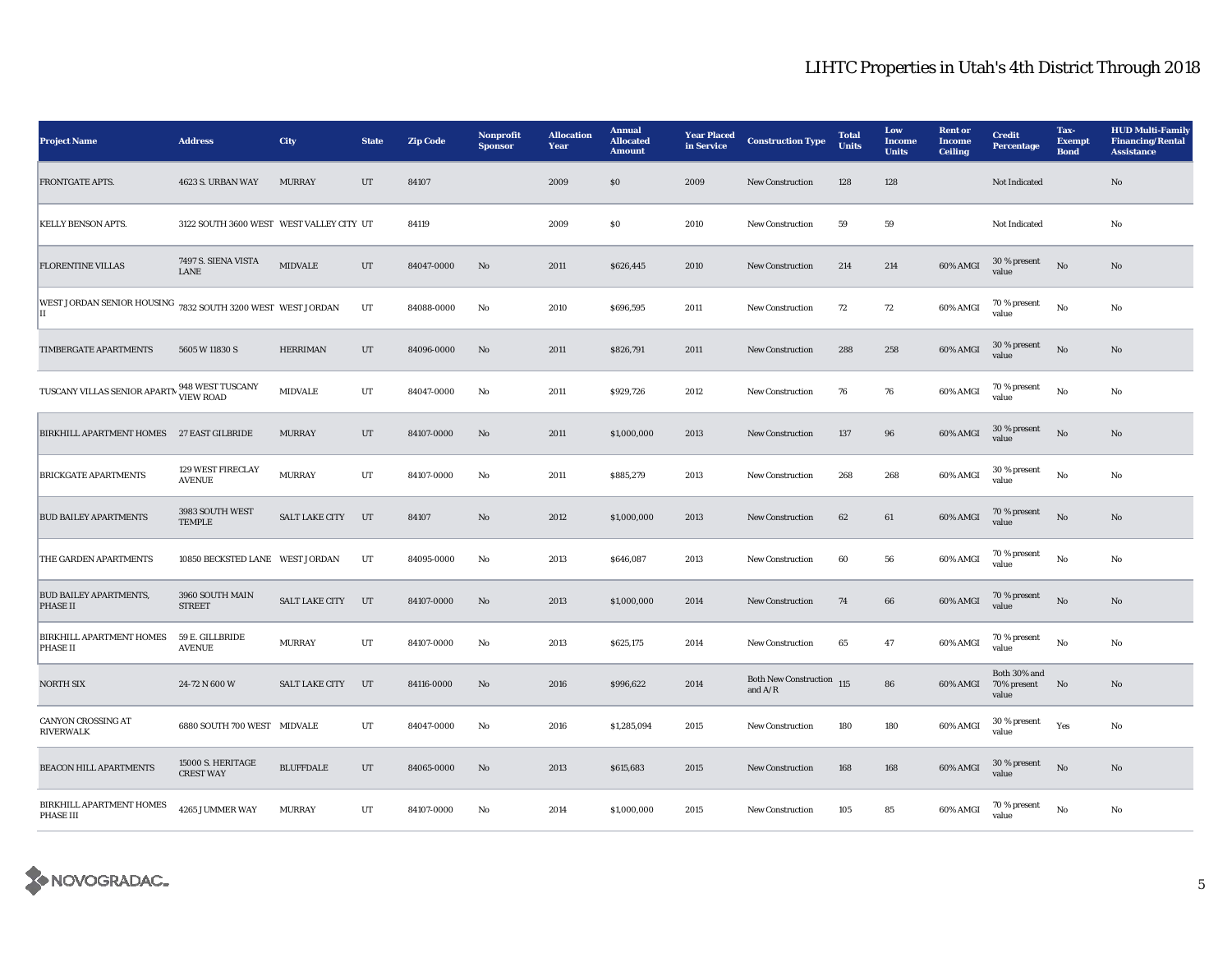| <b>Project Name</b>                                               | <b>Address</b>                           | <b>City</b>           | <b>State</b> | <b>Zip Code</b> | Nonprofit<br><b>Sponsor</b> | <b>Allocation</b><br>Year | <b>Annual</b><br><b>Allocated</b><br><b>Amount</b> | <b>Year Placed</b><br>in Service | <b>Construction Type</b>               | <b>Total</b><br>Units | Low<br><b>Income</b><br><b>Units</b> | <b>Rent</b> or<br><b>Income</b><br><b>Ceiling</b> | <b>Credit</b><br><b>Percentage</b>   | Tax-<br><b>Exempt</b><br><b>Bond</b> | <b>HUD Multi-Family</b><br><b>Financing/Rental</b><br><b>Assistance</b> |
|-------------------------------------------------------------------|------------------------------------------|-----------------------|--------------|-----------------|-----------------------------|---------------------------|----------------------------------------------------|----------------------------------|----------------------------------------|-----------------------|--------------------------------------|---------------------------------------------------|--------------------------------------|--------------------------------------|-------------------------------------------------------------------------|
| <b>FRONTGATE APTS.</b>                                            | 4623 S. URBAN WAY                        | <b>MURRAY</b>         | UT           | 84107           |                             | 2009                      | \$0\$                                              | 2009                             | <b>New Construction</b>                | 128                   | 128                                  |                                                   | Not Indicated                        |                                      | No                                                                      |
| <b>KELLY BENSON APTS.</b>                                         | 3122 SOUTH 3600 WEST WEST VALLEY CITY UT |                       |              | 84119           |                             | 2009                      | \$0\$                                              | 2010                             | <b>New Construction</b>                | 59                    | 59                                   |                                                   | Not Indicated                        |                                      | No                                                                      |
| <b>FLORENTINE VILLAS</b>                                          | 7497 S. SIENA VISTA<br><b>LANE</b>       | <b>MIDVALE</b>        | UT           | 84047-0000      | No                          | 2011                      | \$626,445                                          | 2010                             | <b>New Construction</b>                | 214                   | 214                                  | 60% AMGI                                          | $30\,\%$ present<br>value            | No                                   | No                                                                      |
| WEST JORDAN SENIOR HOUSING 7832 SOUTH 3200 WEST WEST JORDAN<br>II |                                          |                       | UT           | 84088-0000      | No                          | 2010                      | \$696,595                                          | 2011                             | <b>New Construction</b>                | 72                    | 72                                   | 60% AMGI                                          | 70 % present<br>value                | No                                   | No                                                                      |
| TIMBERGATE APARTMENTS                                             | 5605 W 11830 S                           | <b>HERRIMAN</b>       | UT           | 84096-0000      | No                          | 2011                      | \$826,791                                          | 2011                             | <b>New Construction</b>                | 288                   | 258                                  | 60% AMGI                                          | $30\,\%$ present<br>value            | No                                   | No                                                                      |
| TUSCANY VILLAS SENIOR APARTN VIEW ROAD                            |                                          | <b>MIDVALE</b>        | UT           | 84047-0000      | No                          | 2011                      | \$929,726                                          | 2012                             | New Construction                       | 76                    | 76                                   | 60% AMGI                                          | 70 % present<br>value                | $\rm No$                             | No                                                                      |
| BIRKHILL APARTMENT HOMES 27 EAST GILBRIDE                         |                                          | <b>MURRAY</b>         | UT           | 84107-0000      | $\mathbf{N}\mathbf{o}$      | 2011                      | \$1,000,000                                        | 2013                             | <b>New Construction</b>                | 137                   | 96                                   | 60% AMGI                                          | 30 % present<br>value                | No                                   | $\mathbf{N}\mathbf{o}$                                                  |
| <b>BRICKGATE APARTMENTS</b>                                       | 129 WEST FIRECLAY<br><b>AVENUE</b>       | <b>MURRAY</b>         | UT           | 84107-0000      | No                          | 2011                      | \$885,279                                          | 2013                             | New Construction                       | 268                   | 268                                  | 60% AMGI                                          | 30 % present<br>value                | $\rm No$                             | No                                                                      |
| <b>BUD BAILEY APARTMENTS</b>                                      | 3983 SOUTH WEST<br><b>TEMPLE</b>         | <b>SALT LAKE CITY</b> | UT           | 84107           | $\mathbf{N}\mathbf{o}$      | 2012                      | \$1,000,000                                        | 2013                             | <b>New Construction</b>                | 62                    | 61                                   | 60% AMGI                                          | 70 % present<br>value                | $\mathbf{N}\mathbf{o}$               | No                                                                      |
| THE GARDEN APARTMENTS                                             | 10850 BECKSTED LANE WEST JORDAN          |                       | UT           | 84095-0000      | No                          | 2013                      | \$646,087                                          | 2013                             | <b>New Construction</b>                | 60                    | 56                                   | 60% AMGI                                          | 70 % present<br>value                | No                                   | No                                                                      |
| <b>BUD BAILEY APARTMENTS,</b><br><b>PHASE II</b>                  | 3960 SOUTH MAIN<br><b>STREET</b>         | <b>SALT LAKE CITY</b> | UT           | 84107-0000      | No                          | 2013                      | \$1,000,000                                        | 2014                             | <b>New Construction</b>                | 74                    | 66                                   | 60% AMGI                                          | 70 % present<br>value                | $\mathbf{N}\mathbf{o}$               | No                                                                      |
| <b>BIRKHILL APARTMENT HOMES</b><br><b>PHASE II</b>                | 59 E. GILLBRIDE<br><b>AVENUE</b>         | <b>MURRAY</b>         | UT           | 84107-0000      | No                          | 2013                      | \$625,175                                          | 2014                             | New Construction                       | 65                    | 47                                   | 60% AMGI                                          | 70 % present<br>value                | No                                   | No                                                                      |
| <b>NORTH SIX</b>                                                  | 24-72 N 600 W                            | <b>SALT LAKE CITY</b> | UT           | 84116-0000      | No                          | 2016                      | \$996,622                                          | 2014                             | Both New Construction 115<br>and $A/R$ |                       | 86                                   | 60% AMGI                                          | Both 30% and<br>70% present<br>value | No                                   | No                                                                      |
| <b>CANYON CROSSING AT</b><br><b>RIVERWALK</b>                     | 6880 SOUTH 700 WEST MIDVALE              |                       | UT           | 84047-0000      | No                          | 2016                      | \$1,285,094                                        | 2015                             | <b>New Construction</b>                | 180                   | 180                                  | 60% AMGI                                          | 30 % present<br>value                | Yes                                  | No                                                                      |
| <b>BEACON HILL APARTMENTS</b>                                     | 15000 S. HERITAGE<br><b>CREST WAY</b>    | <b>BLUFFDALE</b>      | UT           | 84065-0000      | $\mathbf{N}\mathbf{o}$      | 2013                      | \$615,683                                          | 2015                             | <b>New Construction</b>                | 168                   | 168                                  | 60% AMGI                                          | 30 % present<br>value                | No                                   | No                                                                      |
| BIRKHILL APARTMENT HOMES<br>PHASE III                             | 4265 JUMMER WAY                          | <b>MURRAY</b>         | UT           | 84107-0000      | No                          | 2014                      | \$1,000,000                                        | 2015                             | <b>New Construction</b>                | 105                   | 85                                   | 60% AMGI                                          | 70 % present<br>value                | No                                   | No                                                                      |